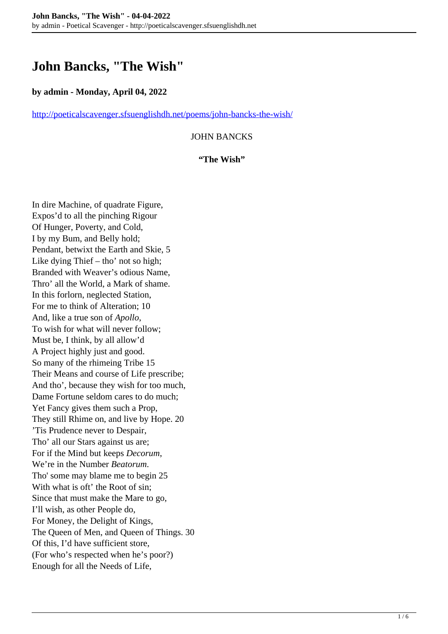# **John Bancks, "The Wish"**

#### **by admin - Monday, April 04, 2022**

<http://poeticalscavenger.sfsuenglishdh.net/poems/john-bancks-the-wish/>

JOHN BANCKS

#### **"The Wish"**

In dire Machine, of quadrate Figure, Expos'd to all the pinching Rigour Of Hunger, Poverty, and Cold, I by my Bum, and Belly hold; Pendant, betwixt the Earth and Skie, 5 Like dying Thief – tho' not so high; Branded with Weaver's odious Name, Thro' all the World, a Mark of shame. In this forlorn, neglected Station, For me to think of Alteration; 10 And, like a true son of *Apollo*, To wish for what will never follow; Must be, I think, by all allow'd A Project highly just and good. So many of the rhimeing Tribe 15 Their Means and course of Life prescribe; And tho', because they wish for too much, Dame Fortune seldom cares to do much; Yet Fancy gives them such a Prop, They still Rhime on, and live by Hope. 20 'Tis Prudence never to Despair, Tho' all our Stars against us are; For if the Mind but keeps *Decorum*, We're in the Number *Beatorum*. Tho' some may blame me to begin 25 With what is oft' the Root of sin; Since that must make the Mare to go, I'll wish, as other People do, For Money, the Delight of Kings, The Queen of Men, and Queen of Things. 30 Of this, I'd have sufficient store, (For who's respected when he's poor?) Enough for all the Needs of Life,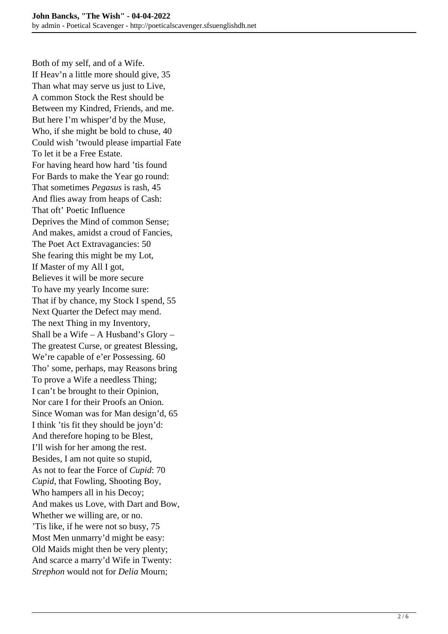Both of my self, and of a Wife. If Heav'n a little more should give, 35 Than what may serve us just to Live, A common Stock the Rest should be Between my Kindred, Friends, and me. But here I'm whisper'd by the Muse, Who, if she might be bold to chuse, 40 Could wish 'twould please impartial Fate To let it be a Free Estate. For having heard how hard 'tis found For Bards to make the Year go round: That sometimes *Pegasus* is rash, 45 And flies away from heaps of Cash: That oft' Poetic Influence Deprives the Mind of common Sense; And makes, amidst a croud of Fancies, The Poet Act Extravagancies: 50 She fearing this might be my Lot, If Master of my All I got, Believes it will be more secure To have my yearly Income sure: That if by chance, my Stock I spend, 55 Next Quarter the Defect may mend. The next Thing in my Inventory, Shall be a Wife – A Husband's Glory – The greatest Curse, or greatest Blessing, We're capable of e'er Possessing. 60 Tho' some, perhaps, may Reasons bring To prove a Wife a needless Thing; I can't be brought to their Opinion, Nor care I for their Proofs an Onion. Since Woman was for Man design'd, 65 I think 'tis fit they should be joyn'd: And therefore hoping to be Blest, I'll wish for her among the rest. Besides, I am not quite so stupid, As not to fear the Force of *Cupid*: 70 *Cupid*, that Fowling, Shooting Boy, Who hampers all in his Decoy; And makes us Love, with Dart and Bow, Whether we willing are, or no. 'Tis like, if he were not so busy, 75 Most Men unmarry'd might be easy: Old Maids might then be very plenty; And scarce a marry'd Wife in Twenty: *Strephon* would not for *Delia* Mourn;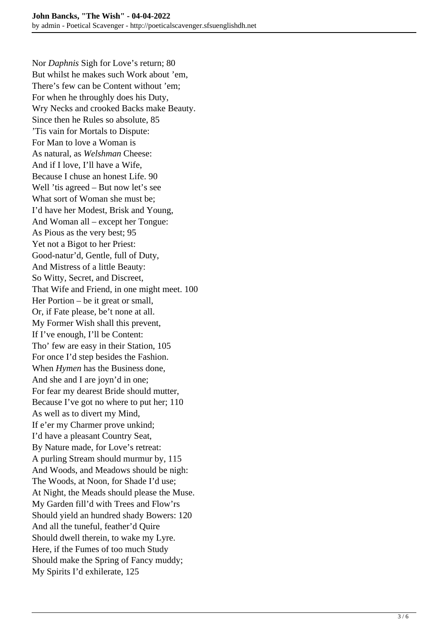Nor *Daphnis* Sigh for Love's return; 80 But whilst he makes such Work about 'em, There's few can be Content without 'em; For when he throughly does his Duty, Wry Necks and crooked Backs make Beauty. Since then he Rules so absolute, 85 'Tis vain for Mortals to Dispute: For Man to love a Woman is As natural, as *Welshman* Cheese: And if I love, I'll have a Wife, Because I chuse an honest Life. 90 Well 'tis agreed – But now let's see What sort of Woman she must be; I'd have her Modest, Brisk and Young, And Woman all – except her Tongue: As Pious as the very best; 95 Yet not a Bigot to her Priest: Good-natur'd, Gentle, full of Duty, And Mistress of a little Beauty: So Witty, Secret, and Discreet, That Wife and Friend, in one might meet. 100 Her Portion – be it great or small, Or, if Fate please, be't none at all. My Former Wish shall this prevent, If I've enough, I'll be Content: Tho' few are easy in their Station, 105 For once I'd step besides the Fashion. When *Hymen* has the Business done, And she and I are joyn'd in one; For fear my dearest Bride should mutter, Because I've got no where to put her; 110 As well as to divert my Mind, If e'er my Charmer prove unkind; I'd have a pleasant Country Seat, By Nature made, for Love's retreat: A purling Stream should murmur by, 115 And Woods, and Meadows should be nigh: The Woods, at Noon, for Shade I'd use; At Night, the Meads should please the Muse. My Garden fill'd with Trees and Flow'rs Should yield an hundred shady Bowers: 120 And all the tuneful, feather'd Quire Should dwell therein, to wake my Lyre. Here, if the Fumes of too much Study Should make the Spring of Fancy muddy; My Spirits I'd exhilerate, 125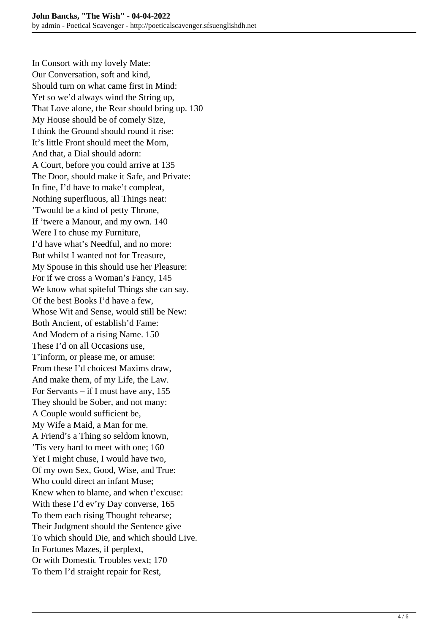In Consort with my lovely Mate: Our Conversation, soft and kind, Should turn on what came first in Mind: Yet so we'd always wind the String up, That Love alone, the Rear should bring up. 130 My House should be of comely Size, I think the Ground should round it rise: It's little Front should meet the Morn, And that, a Dial should adorn: A Court, before you could arrive at 135 The Door, should make it Safe, and Private: In fine, I'd have to make't compleat, Nothing superfluous, all Things neat: 'Twould be a kind of petty Throne, If 'twere a Manour, and my own. 140 Were I to chuse my Furniture, I'd have what's Needful, and no more: But whilst I wanted not for Treasure, My Spouse in this should use her Pleasure: For if we cross a Woman's Fancy, 145 We know what spiteful Things she can say. Of the best Books I'd have a few, Whose Wit and Sense, would still be New: Both Ancient, of establish'd Fame: And Modern of a rising Name. 150 These I'd on all Occasions use, T'inform, or please me, or amuse: From these I'd choicest Maxims draw, And make them, of my Life, the Law. For Servants – if I must have any, 155 They should be Sober, and not many: A Couple would sufficient be, My Wife a Maid, a Man for me. A Friend's a Thing so seldom known, 'Tis very hard to meet with one; 160 Yet I might chuse, I would have two, Of my own Sex, Good, Wise, and True: Who could direct an infant Muse; Knew when to blame, and when t'excuse: With these I'd ev'ry Day converse, 165 To them each rising Thought rehearse; Their Judgment should the Sentence give To which should Die, and which should Live. In Fortunes Mazes, if perplext, Or with Domestic Troubles vext; 170 To them I'd straight repair for Rest,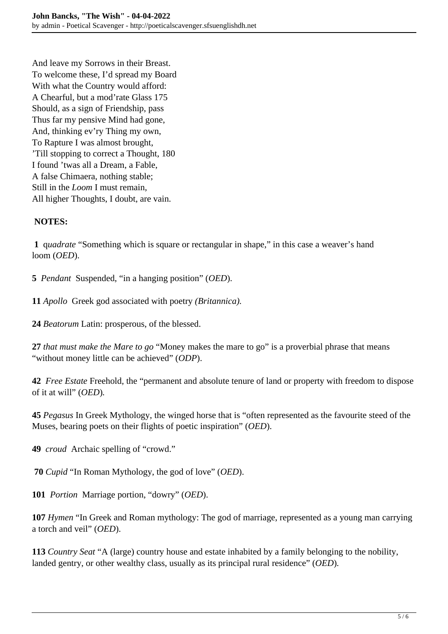And leave my Sorrows in their Breast. To welcome these, I'd spread my Board With what the Country would afford: A Chearful, but a mod'rate Glass 175 Should, as a sign of Friendship, pass Thus far my pensive Mind had gone, And, thinking ev'ry Thing my own, To Rapture I was almost brought, 'Till stopping to correct a Thought, 180 I found 'twas all a Dream, a Fable, A false Chimaera, nothing stable; Still in the *Loom* I must remain, All higher Thoughts, I doubt, are vain.

## **NOTES:**

**1** q*uadrate* "Something which is square or rectangular in shape," in this case a weaver's hand loom (*OED*).

**5** *Pendant* Suspended, "in a hanging position" (*OED*).

**11** *Apollo*Greek god associated with poetry *(Britannica).*

**24** *Beatorum* Latin: prosperous, of the blessed.

**27** *that must make the Mare to go* "Money makes the mare to go" is a proverbial phrase that means "without money little can be achieved" (*ODP*).

**42** *Free Estate* Freehold*,* the "permanent and absolute tenure of land or property with freedom to dispose of it at will" (*OED*)*.*

**45** *Pegasus* In Greek Mythology, the winged horse that is "often represented as the favourite steed of the Muses, bearing poets on their flights of poetic inspiration" (*OED*).

**49** *croud* Archaic spelling of "crowd."

**70** *Cupid* "In Roman Mythology, the god of love" (*OED*).

**101** *Portion* Marriage portion, "dowry" (*OED*).

**107** *Hymen* "In Greek and Roman mythology: The god of marriage, represented as a young man carrying a torch and veil" (*OED*).

**113** *Country Seat* "A (large) country house and estate inhabited by a family belonging to the nobility, landed gentry, or other wealthy class, usually as its principal rural residence" (*OED*)*.*